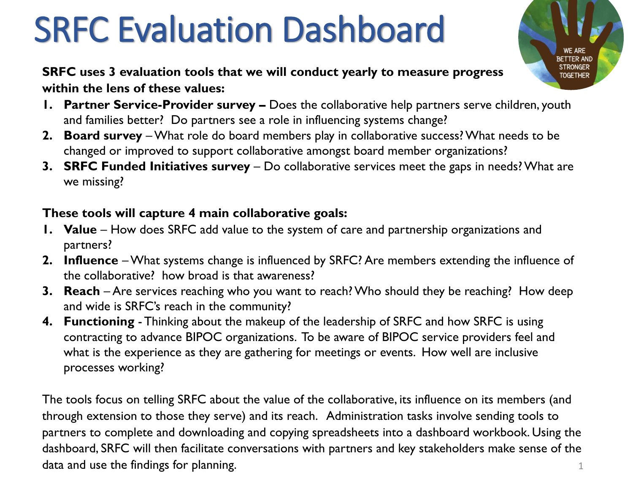# SRFC Evaluation Dashboard

**SRFC uses 3 evaluation tools that we will conduct yearly to measure progress within the lens of these values:**

- **1. Partner Service-Provider survey –** Does the collaborative help partners serve children, youth and families better? Do partners see a role in influencing systems change?
- **2. Board survey** –What role do board members play in collaborative success? What needs to be changed or improved to support collaborative amongst board member organizations?
- **3. SRFC Funded Initiatives survey** Do collaborative services meet the gaps in needs? What are we missing?

#### **These tools will capture 4 main collaborative goals:**

- **1. Value** How does SRFC add value to the system of care and partnership organizations and partners?
- **2. Influence** –What systems change is influenced by SRFC? Are members extending the influence of the collaborative? how broad is that awareness?
- **3. Reach** Are services reaching who you want to reach? Who should they be reaching? How deep and wide is SRFC's reach in the community?
- **4. Functioning** Thinking about the makeup of the leadership of SRFC and how SRFC is using contracting to advance BIPOC organizations. To be aware of BIPOC service providers feel and what is the experience as they are gathering for meetings or events. How well are inclusive processes working?

1 The tools focus on telling SRFC about the value of the collaborative, its influence on its members (and through extension to those they serve) and its reach. Administration tasks involve sending tools to partners to complete and downloading and copying spreadsheets into a dashboard workbook. Using the dashboard, SRFC will then facilitate conversations with partners and key stakeholders make sense of the data and use the findings for planning.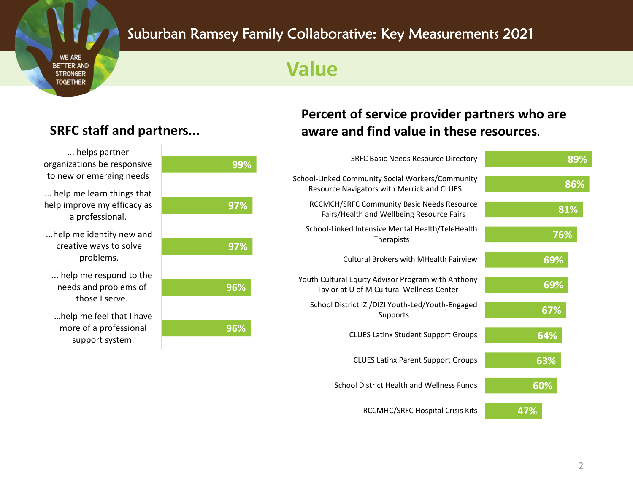### Suburban Ramsey Family Collaborative: Key Measurements 2021

### **Value**

#### ... help me learn things that help improve my efficacy as a professional. ... helps partner organizations be responsive to new or emerging needs

...help me identify new and creative ways to solve problems.

- ... help me respond to the needs and problems of those I serve.
- …help me feel that I have more of a professional support system.

| 99% |
|-----|
|     |
| 97% |
|     |
|     |
| 97% |
|     |
| 96% |
|     |
|     |
| 96% |

### **Percent of service provider partners who are SRFC staff and partners... aware and find value in these resources.**

| 89% | <b>SRFC Basic Needs Resource Directory</b>                                                      |  |
|-----|-------------------------------------------------------------------------------------------------|--|
| 86% | School-Linked Community Social Workers/Community<br>Resource Navigators with Merrick and CLUES  |  |
| 81% | <b>RCCMCH/SRFC Community Basic Needs Resource</b><br>Fairs/Health and Wellbeing Resource Fairs  |  |
| 76% | School-Linked Intensive Mental Health/TeleHealth<br>Therapists                                  |  |
| 69% | <b>Cultural Brokers with MHealth Fairview</b>                                                   |  |
| 69% | Youth Cultural Equity Advisor Program with Anthony<br>Taylor at U of M Cultural Wellness Center |  |
| 67% | School District IZI/DIZI Youth-Led/Youth-Engaged<br>Supports                                    |  |
| 64% | <b>CLUES Latinx Student Support Groups</b>                                                      |  |
| 63% | <b>CLUES Latinx Parent Support Groups</b>                                                       |  |
| 60% | School District Health and Wellness Funds                                                       |  |
| 47% | <b>RCCMHC/SRFC Hospital Crisis Kits</b>                                                         |  |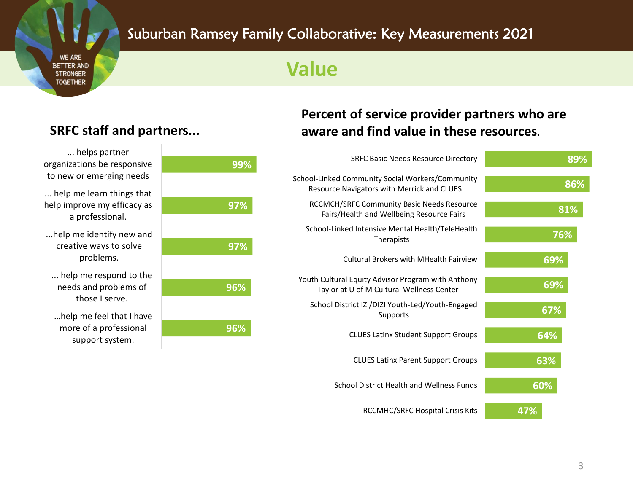### Suburban Ramsey Family Collaborative: Key Measurements 2021

### **Value**

#### ... help me learn things that help improve my efficacy as a professional. ... helps partner organizations be responsive to new or emerging needs

...help me identify new and creative ways to solve problems.

- ... help me respond to the needs and problems of those I serve.
- …help me feel that I have more of a professional support system.

# **96% 96% 97% 97% 99%**

### **Percent of service provider partners who are SRFC staff and partners... aware and find value in these resources.**

| <b>SRFC Basic Needs Resource Directory</b>                                                      | 89% |
|-------------------------------------------------------------------------------------------------|-----|
| School-Linked Community Social Workers/Community<br>Resource Navigators with Merrick and CLUES  | 86% |
| RCCMCH/SRFC Community Basic Needs Resource<br>Fairs/Health and Wellbeing Resource Fairs         | 81% |
| School-Linked Intensive Mental Health/TeleHealth<br>Therapists                                  | 76% |
| Cultural Brokers with MHealth Fairview                                                          | 69% |
| Youth Cultural Equity Advisor Program with Anthony<br>Taylor at U of M Cultural Wellness Center | 69% |
| School District IZI/DIZI Youth-Led/Youth-Engaged<br>Supports                                    | 67% |
| <b>CLUES Latinx Student Support Groups</b>                                                      | 64% |
| <b>CLUES Latinx Parent Support Groups</b>                                                       | 63% |
| School District Health and Wellness Funds                                                       | 60% |
| <b>RCCMHC/SRFC Hospital Crisis Kits</b>                                                         | 47% |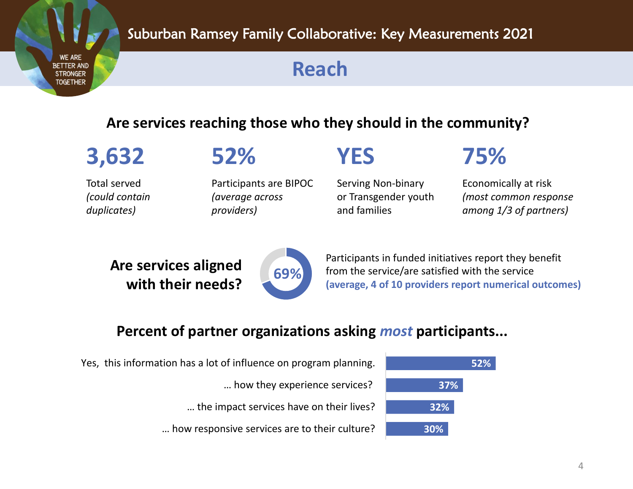**Reach**

### **Are services reaching those who they should in the community?**

Total served *(could contain duplicates)*

## **3,632 52% YES 75%**

Participants are BIPOC *(average across providers)*

Serving Non-binary or Transgender youth and families

Economically at risk *(most common response among 1/3 of partners)*

**Are services aligned with their needs?** 



Participants in funded initiatives report they benefit from the service/are satisfied with the service **(average, 4 of 10 providers report numerical outcomes)**

### **Percent of partner organizations asking** *most* **participants...**

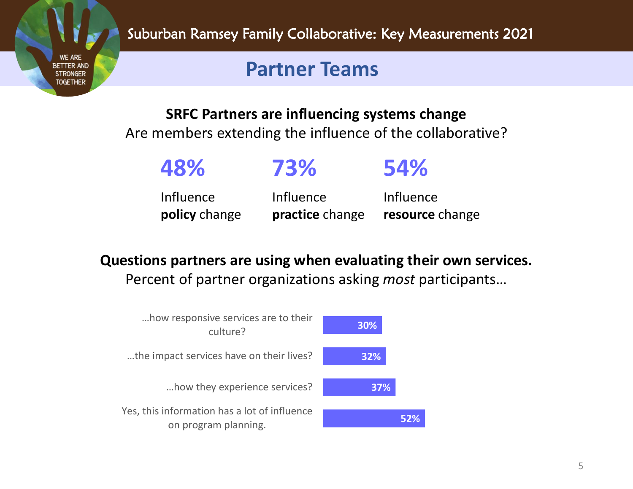Suburban Ramsey Family Collaborative: Key Measurements 2021

### **Partner Teams**

**WE ARE RETTER AND** 

**TOGETHER** 

**SRFC Partners are influencing systems change**

Are members extending the influence of the collaborative?

| 48%              | 73%             | <b>54%</b>      |
|------------------|-----------------|-----------------|
| <b>Influence</b> | Influence       | Influence       |
| policy change    | practice change | resource change |

**Questions partners are using when evaluating their own services.** Percent of partner organizations asking *most* participants…

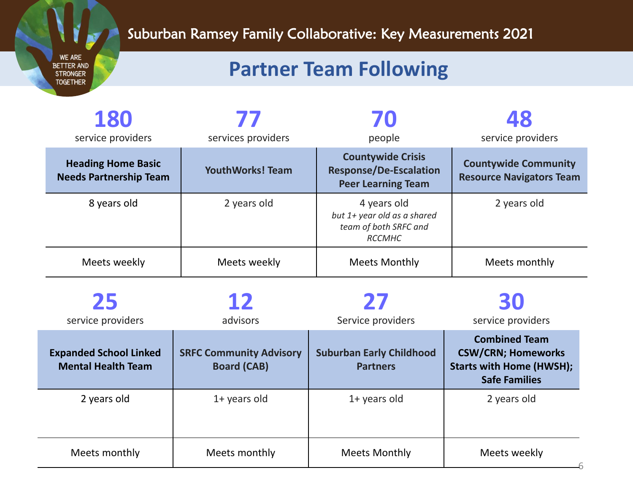### Suburban Ramsey Family Collaborative: Key Measurements 2021

## **Partner Team Following**

| 180<br>service providers                                   | $\boldsymbol{I}$<br>services providers | 70<br>people                                                                           | service providers                                              |
|------------------------------------------------------------|----------------------------------------|----------------------------------------------------------------------------------------|----------------------------------------------------------------|
| <b>Heading Home Basic</b><br><b>Needs Partnership Team</b> | <b>YouthWorks! Team</b>                | <b>Countywide Crisis</b><br><b>Response/De-Escalation</b><br><b>Peer Learning Team</b> | <b>Countywide Community</b><br><b>Resource Navigators Team</b> |
| 8 years old                                                | 2 years old                            | 4 years old<br>but 1+ year old as a shared<br>team of both SRFC and<br><b>RCCMHC</b>   | 2 years old                                                    |
| Meets weekly                                               | Meets weekly                           | <b>Meets Monthly</b>                                                                   | Meets monthly                                                  |

| 25<br>service providers                                    | 12<br>advisors                                       | 27<br>Service providers                            | 30<br>service providers                                                                                      |
|------------------------------------------------------------|------------------------------------------------------|----------------------------------------------------|--------------------------------------------------------------------------------------------------------------|
| <b>Expanded School Linked</b><br><b>Mental Health Team</b> | <b>SRFC Community Advisory</b><br><b>Board (CAB)</b> | <b>Suburban Early Childhood</b><br><b>Partners</b> | <b>Combined Team</b><br><b>CSW/CRN; Homeworks</b><br><b>Starts with Home (HWSH);</b><br><b>Safe Families</b> |
| 2 years old                                                | $1+$ years old                                       | $1+$ years old                                     | 2 years old                                                                                                  |
| Meets monthly                                              | Meets monthly                                        | <b>Meets Monthly</b>                               | Meets weekly                                                                                                 |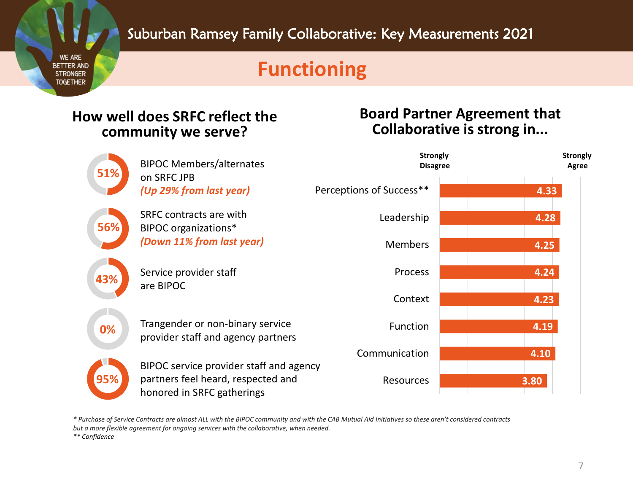### **Functioning**

### **How well does SRFC reflect the community we serve?**

#### **Board Partner Agreement that Collaborative is strong in...**



*\* Purchase of Service Contracts are almost ALL with the BIPOC community and with the CAB Mutual Aid Initiatives so these aren't considered contracts* 

*\*\* Confidence*

*but a more flexible agreement for ongoing services with the collaborative, when needed.*